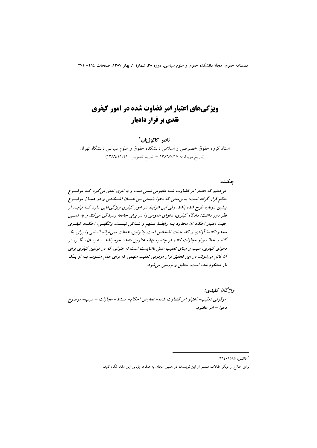# **ویژگیهای اعتبار امر قضاوت شده در امور کیفری نقدی بر قرار دادیار**

## ناصر كاتوزيان\*

استاد گروه حقوق خصوصی و اسلامی دانشکده حقوق و علوم سیاسی دانشگاه تهران (تاريخ دريافت: ١٣٨٦/٧/١٧ – تاريخ تصويب: ١٣٨٦/١١/٢١)

### جكيده:

میدانیم که اعتبار امر قضاوت شده مفهومی نسبی است و به امری تعلق میگیرد کسه موضوع حکم قرار گرفته است: بدین معنی که دعوا بایستی بین همـان اشـخاص و در همـان موضـوع پیشین دوباره طرح شده باشد. ولی این شرایط در امور کیفری ویژگیهایی دارد کـه نبایـد از نظر دور داشت: دادگاه کیفری، دعوای عمومی را در برابر جامعه رسیدگی میکند و به همسین جهت اعتبار احکام أن محدود بـه رابطـهٔ مـتهم و شـاکی نیـست. وانگهـی، احکـام کیفـری محدودکنندهٔ آزادی و گاه حیات اشخاص است. بنابراین، عدالت نمی تواند انسانی را برای یک گناه و خطا دوبار مجازات کند، هر چند به بهانهٔ عناوین متعدد جرم باشد. بــه بیــان دیگـــر، در دعوای کیفری، سبب و مبنای تعقیب عمل ناشایست است نه عنوانی که در قوانین کیفری برای آن قائل می شوند. در این تحقیق قرار موقوفی تعقیب متهمی که برای عمل منسوب بـه او یـک بار محکوم شده است، تحلیل و بررسی می شود.

واژگان كليدي: موقوفي تعقيب- اعتبار امر قضاوت شده- تعارض احكام- مستند- مجازات – سبب- موضوع دعوا - امر مختوم.

> -----\* فاكس: **٩٥٩٥؟ ٢٦٤**

----------

برای اطلاع از دیگر مقالات منتشر از این نویسنده در همین مجله، به صفحه پایانی این مقاله نگاه کنید.

-------------------------------------------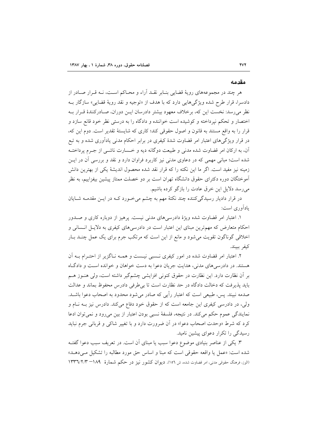#### مقدمه

هر چند در مجموعههای رویهٔ قضایی بنـابر نقــد آراء و محــاکم اســت، نــه قــرار صــادر از دادسرا، قرار طرح شده ويژگي هايي دارد كه با هدف از «توجيه و نقد رويهٔ قضايي» سازگار بـه نظر میرسد: نخست این که، برخلاف معهود بیشتر دادرسان ایـن دوران، صـادرکنندهٔ قـرار بـه اختصار و تحکم نپرداخته و کوشیده است خواننده و دادگاه را به درستی نظر خود قانع سازد و قرار را به واقع مستند به قانون و اصول حقوقی کند؛ کاری که شایستهٔ تقدیر است. دوم این که، در قرار ویژگی های اعتبار امر قضاوت شدهٔ کیفری در برابر احکام مدنی یادآوری شده و به تبع آن، به اركان امر قضاوت شده مدنى و طبيعت دوگانه ديه و خــسارت ناشــي از جــرم پرداختــه شده است؛ مبانی مهمی که در دعاوی مدنی نیز کاربرد فراوان دارد و نقد و بررسی آن در ایــن زمینه نیز مفید است. اگر ما این نکته را که قرار نقد شده محصول اندیشهٔ یکی از بهترین دانش آموختگان دوره دکترای حقوق دانشگاه تهران است بر دو خصلت ممتاز پیشین بیفزاییم، به نظر می رسد دلایل این خرق عادت را بازگو کرده باشیم.

در قرار دادیار رسیدگی کننده چند نکتهٔ مهم به چشم میخورد کـه در ایــن مقدمــه شــایان بادآوري است:

۱. اعتبار امر قضاوت شده ویژهٔ دادرسیهای مدنی نیست. پرهیز از دوباره کاری و صـدور احکام متعارض که مهمترین مبنای این اعتبار است در دادرسی های کیفری به دلایل انسانی و اخلاقی گوناگون تقویت میشود و مانع از این است که مرتکب جرم برای یک عمل چنـد بـار كيفر ببيند.

۲. اعتبار امر قضاوت شده در امور کیفری نــسبی نیـست و همــه نــاگزیر از احتــرام بــه آن هستند. در دادرسی های مدنی، هدایت جریان دعوا به دست خواهان و خوانده است و دادگـاه بر أن نظارت دارد. اين نظارت در حقوق كنوني افزايشي چشمگير داشته است، ولي هنــوز هــم بايد يذيرفت كه دخالت دادگاه در حد نظارت است تا بي طرفي دادرس محفوظ بماند و عدالت صدمه نبيند. پس، طبيعي است كه اعتبار رأيي كه صادر مي شود محدود به اصحاب دعوا باشــد. ولی، در دادرسی کیفری این جامعه است که از حقوق خود دفاع میکند. دادرس نیز بـه نـام و نمایندگی عموم حکم میکند. در نتیجه، فلسفهٔ نسبی بودن اعتبار از بین می رود و نمی توان ادعا کرد که شرط «وحدت اصحاب دعوا» در اَن ضرورت دارد و با تغییر شاکی و قربانی جرم نباید رسیدگی را تکرار دعوای پیشین نامید.

۳. یکی از عناصر بنیادی موضوع دعوا سبب یا مبنای آن است. در تعریف سبب دعوا گفتــه شده است: «عمل يا واقعه حقوقي است كه مبنا و اساس حق مورد مطالبه را تشكيل مـى دهـد» (الوز، فرهنگ حقوقی مدنی، امر قضاوت شده، ش ١٥٦). دیوان کشور نیز در حکم شمارهٔ ١٨٩– ١٣٣٦/٢/٣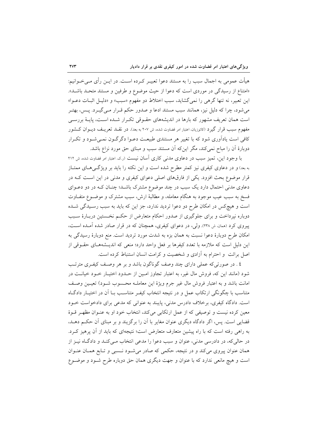هیأت عمومی به اجمال سبب را به مستند دعوا تعبیـر کـرده اسـت. در ایــن رأی مــیخــوانیم: «امتناع از رسیدگی در موردی است که دعوا از حیث موضوع و طرفین و مستند متحـد باشـد». این تعبیر، نه تنها گرهی را نمیگشاید، سبب اختلاط دو مفهوم «سبب» و «دلیـل اثبـات دعـوا» میشود، چرا که دلیل نیز، همانند سبب مستند ادعا و صدور حکم قـرار مـی&یـرد. پـس، بهتـر است همان تعریف مشهور که بارها در اندیشههای حقـوقی تکـرار شـده اسـت، پایـهٔ بررسـی مفهوم سبب قرار گیرد (کاتوزیان، اعتبار امر قضاوت شده، ش ۲۰۷ به بعد). در نقــد تعریــف دیــوان کــشور کافی است یادآوری شود که با تغییر هر مستندی طبیعت دعـوا دگرگـون نمـیشـود و تکـرار دوبارهٔ آن را مباح نمی کند، مگر اینکه آن مستند سبب و مبنای حق مورد نزاع باشد.

با وجود این، تمیز سبب در دعاوی مدنی کاری اسان نیست (ر.ک اعتبار امر قضاوت شده، ش ۲۱۲ به بعد) و در دعاوی کیفری نیز کمتر مطرح شده است و این نکته را باید بر ویژگی های ممتـاز قرار موضوع بحث افزود. یکی از فارقهای اصلی دعوای کیفری و مدنی در این است کـه در دعاوی مدنی احتمال دارد یک سبب در چند موضوع مشترک باشـد؛ چنـان کـه در دو دعــوای فسخ به سبب عیب موجود به هنگام معامله، و مطالبهٔ ارش، سبب مشترک و موضــوع متفــاوت است و هیچکس در امکان طرح دو دعوا تردید ندارد، جز این که باید به سبب رسـیدگی شـده دوباره نپرداخت و برای جلوگیری از صدور احکام متعارض از حکـم نخـستین دربـارهٔ سـبب پیروی کرد (همان، ش ۲۳۸). ولی، در دعوای کیفری، همچنان که در قرار صادر شده آمـده اسـت، امکان طرح دوبارهٔ دعوا نسبت به همان بزه به شدت مورد تردید است. منع دوبارهٔ رسیدگی به این دلیل است که ملازمه با تعدد کیفرها بر فعل واحد دارد؛ منعی که اندیـشههـای حقــوقی از اصل برائت و احترام به آزادی و شخصیت و کرامت انسان استنباط کرده است.

٤ . در صورتیکه عملی دارای چند وصف گوناگون باشد و بر هر وصـف کیفـری مترتـب شود (مانند این که، فروش مال غیر، به اعتبار تجاوز امـین از حـدود اختیـار خــود خیانــت در امانت باشد و به اعتبار فروش مال غیر جرم ویژهٔ این معاملـه محـسوب شـود) تعیـین وصـف متناسب با چگونگی ارتکاب عمل و در نتیجه انتخاب کیفـر متناسـب بــا اَن در اختیــار دادگــاه است. دادگاه کیفری، برخلاف دادرس مدنی، پایبند به عنوانی که مدعی برای دادخواست خـود معین کرده نیست و توصیفی که از عمل ارتکابی میکند، انتخاب خود او به عنـوان مظهـر قـوهٔ قضایی است. پس، اگر دادگاه دیگری عنوان مغایر با آن را برگزیند و بر مبنای آن حکـم دهـد، به راهی رفته است که با راه پیشین متعارف متعارض است؛ نتیجهای که باید از آن پرهیز کـرد. در حالي كه، در دادرسي مدني، عنوان و سبب دعوا را مدعى انتخاب مـي كنـد و دادگـاه نيـز از همان عنوان پیروی میکند و در نتیجه، حکمی که صادر میشود نسبی و تـابع همـان عنـوان است و هیچ مانعی ندارد که با عنوان و جهت دیگری همان حق دوباره طرح شـود و موضـوع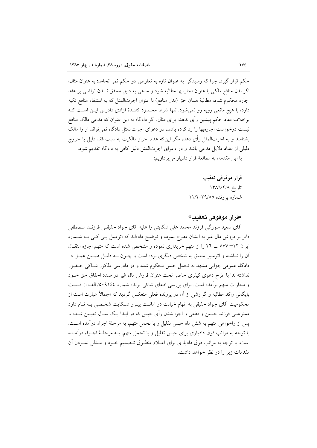حکم قرار گیرد، چرا که رسیدگی به عنوان تازه به تعارض دو حکم نمی انجامد: به عنوان مثال، اگر بدل منافع ملکی با عنوان اجارهبها مطالبه شود و مدعی به دلیل محقق نشدن تراضی بر عقد اجاره محکوم شود، مطالبهٔ همان حق (بدل منافع) با عنوان اجرتالمثل که به استیفاء منافع تکیه دارد، با هیچ مانعی روبه رو نمیشود. تنها شرط محـدود کننـدهٔ آزادی دادرس ایـن اسـت کـه برخلاف مفاد حکم پیشین رأی ندهد: برای مثال، اگر دادگاه به این عنوان که مدعی مالک منافع نیست درخواست اجارهبها را رد کرده باشد، در دعوای اجرتالمثل دادگاه نمی تواند او را مالک بشناسد و به اجرتالمثل رأى دهد، مگر اين٤ه عدم احراز مالكيت به سبب فقد دليل يا خروج دلیلی از عداد دلایل مدعی باشد و در دعوای اجرتالمثل دلیل کافی به دادگاه تقدیم شود. با این مقدمه، به مطالعهٔ قرار دادیار میپردازیم:

> قرار موقوفی تعقیب تاريخ ١٣٨٦/٢/٨ شماره برونده ١١/٢٠٣٩/٨٥

«قرار موقوفي تعقيب»

اّقای سعید سورگی فرزند محمد علی شکایتی را علیه اّقای جواد حقیقـی فرزنـد مـصطفی دایر بر فروش مال غیر به ایشان مطرح نموده و توضیح دادهاند که اتومبیل پـی کـی بـه شـماره ایران ۱۲– ۵۷۷ ب ۲۹ را از متهم خریداری نموده و مشخص شده است که متهم اجازه انتقـال آن را نداشته و اتومبیل متعلق به شخص دیگری بوده است و چــون بــه دلیــل همــین عمــل در دادگاه عمومی جزایی مشهد به تحمل حبس محکوم شده و در دادرسی مذکور شـاکی حـضور نداشته لذا با طرح دعوى كيفرى حاضر تحت عنوان فروش مال غير در صدد احقاق حق خــود و مجازات متهم برأمده است. برای بررسی ادعای شاکی پرنده شماره ۹۱٤٤/ ٥٠٩/ الف از قسمت بایگانی راکد مطالبه و گزارشی از آن در پرونده فعلی منعکس گردید که اجمالاً عبارت است از محکومیت آقای جواد حقیقی به اتهام خیانت در امانـت پیـرو شـکایت شخـصی بـه نـام داود ممنوعیتی فرزند حسین و قطعی و اجرا شدن رأی حبس که در ابتدا یـک سـال تعیـین شــده و يس از واخواهي متهم به شش ماه حبس تقليل و با تحمل متهم، به مرحلهٔ اجراء درآمده است. با توجه به مراتب فوق دادیاری برای حبس تقلیل و با تحمل متهم، بــه مرحلــهٔ اجــراء درآمــده است. با توجه به مراتب فوق دادیاری برای اعـلام منطـوق تـصمیم خـود و مـدلل نمـودن آن مقدمات زیر را در نظر خواهد داشت.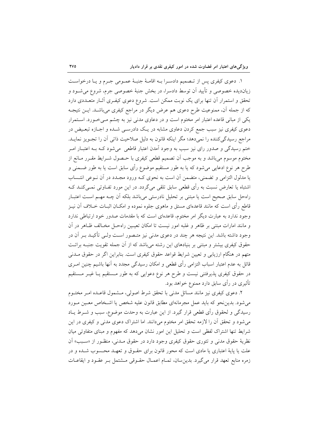۱. دعوی کیفری پس از تـصمیم دادسـرا بـه اقامـهٔ جنبـهٔ عمـومی جـرم و یـا درخواسـت زیاندیده خصوصی و تأیید آن توسط دادسرا، در بخش جنبهٔ خصوصی جرم، شروع می شــود و تحقق و استمرار أن تنها برای یک نوبت ممکن است. شروع دعوی کیفـری آثـار متعــددی دارد که از جمله آن، ممنوعیت طرح دعوی هم عرض دیگر در مراجع کیفری میباشـد. ایــن نتیجــه یکی از مبانی قاعده اعتبار امر مختوم است و در دعاوی مدنی نیز به چشم مـیخـورد. اسـتمرار دعوی کیفری نیز سبب جمع کردن دعاوی مشابه در یـک دادرســی شــده و اجــازه تبعــیض در مراجع رسیدگی کننده را نمیدهد؛ مگر اینکه قانون به دلیل صلاحیت ذاتی آن را تجـویز نمایــد. ختم رسیدگی و صدور رای نیز سبب به وجود آمدن اعتبار قاطعی ً میشود کـه بـه اعتبــار امــر مختوم موسوم میباشد و به موجب آن تصمیم قطعی کیفری با حـصول شــرایط مقــرر مــانع از طرح هر نوع ادعایی می شود که یا به طور مستقیم موضوع رأی سابق است یا به طور ضـمنی و یا مدلول التزامی و تضمنی، متضمن أن است به نحوی کـه ورود مجـدد در أن نــوعی انتــساب اشتباه یا تعارض نسبت به رأی قطعی سابق تلقی میگردد. در این مورد تفــاوتی نمــیکنــد کــه راهحل سابق صحيح است يا مبتنى بر تحليل نادرستى مى باشد بلكه أن چــه مهــم اسـت اعتبــار قاطع رأی است که مانند قاعدهای مستق و ماهوی جلوه نموده و امکــان اثبــات خــلاف آن نیــز وجود ندارد به عبارت دیگر امر مختوم، قاعدهای است که با مقدمات صدور خود ارتباطی ندارد و مانند امارات مبتنی بر ظاهر و غلبه امور نیست تا امکان تعیـین راهحـل مخـالف ظـاهر در آن وجود داشته باشد. این نتیجه هر چند در دعوی مدنی نیز متـصور اسـت ولـی تأکیــد بــر آن در حقوق کیفری بیشتر و مبتنی بر بنیادهای این رشته میباشد که از آن جمله تقویت جنبـه برائـت متهم در هنگام ارزیابی و تعیین شرایط قواعد حقوق کیفری است. بنابراین اگر در حقوق مــدنی قائل به عدم اعتبار اسباب التزامی رأی قطعی و امکان رسیدگی مجدد به آنها باشیم چنین امـری در حقوق کیفری پذیرفتنی نیست و طرح هر نوع دعوایی که به طور مـستقیم یـا غیــر مـستقیم تأثیری در رأی سابق دارد ممنوع خواهد بود.

۲. دعوی کیفری نیز مانند مسائل مدنی با تحقق شرط اصولی، مـشمول قاعـده امـر مختــوم می شود. بدین نحو که باید عمل مجرمانهای مطابق قانون علیه شخص یا اشـخاص معـین مـورد رسیدگی و لحقوق رأی قطعی قرار گیرد. از این عبارت به وحدت موضوع، سبب و شــرط پــاد می شود و تحقق آن را لازمه تحقق امر مختوم میدانند. اما اشتراک دعوی مدنی و کیفری در این شرایط تنها اشتراک لفظی است و تحلیل این امور نشان میدهد که مفهوم و مبنای متفاوتی میان نظريهٔ حقوق مدني و تئوري حقوق کيفري وجود دارد در حقوق مــدني، منظــور از «ســبب» اَن علت یا پایهٔ اعتباری یا مادی است که محور قانون برای حقـوق و تعهـد محـسوب شـده و در زمره منابع تعهد قرار می گیرد. بدین سان، تمـام اعمـال حقـوقی مــشتمل بـر عقـود و ایقاعـات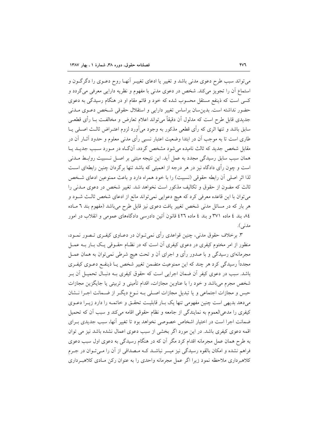می تواند سبب طرح دعوی مدنی باشد و تغییر یا ادعای تغییـر اّنهـا روح دعــوی را دگرگــون و استماع آن را تجويز مي كند. شخص در دعوي مدني با مفهوم و نظريه دارايي معرفي مي گردد و کسی است که ذینفع مستقل محسوب شده که خود و قائم مقام او در هنگام رسیدگی به دعوی حضور نداشته است. بدین سان براساس تغییر دارایی و استقلال حقوقی شخص دعوی مـدنی جدیدی قابل طرح است که مدلول آن دقیقاً میïتواند اعلام تعارض و مخالفـت بــا رأی قطعــی سابق باشد و تنها اثری که رأی قطعی مذکور به وجود می]ورد لزوم اعتـراض ثالـث اصـلـی یــا طاری است تا به موجب آن در ابتدا وضعیت اعتبار نسبی رأی مدنی معلوم و حدود آثــار آن در مقابل شخص جدید که ثالث نامیده می شود مشخص گردد، آنگIه در مـورد سـبب جدیــد یــا همان سبب سابق رسیدگی مجدد به عمل آید. این نتیجه مبتنی بر اصـل نــسبیت روابـط مــدنی است و چون رأى دادگاه نيز در هر درجه از اهميتي كه باشد تنها برگردان چنين رابطهاي اسـت لذا اثر اصلي أن رابطه حقوقي (نسبيت) را با خود همراه دارد و باعث ممنوعين ادعاى شـخص ثالث که مضون از حقوق و تکالیف مذکور است نخواهد شد. تغییر شخص در دعوی مــدنی را می توان با این قاعده معرفی کرد که هیچ دعوایی نمی تواند مانع از ادعای شخص ثالث شـود و هر بار که در مسائل مدنی شخص تغییر یافت دعوی نیز قابل طرح میباشد (مفهوم بند ٦ مـاده ۸٤ بند ٤ ماده ٣٧١ و بند ٤ ماده ٤٢٦ قانون آئين دادرسي دادگاههاي عمومي و انقلاب در امور مدنې).

۳. برخلاف حقوق مدنی، چنین قواعدی رأی نمیتوان در دعــاوی کیفـری تــصور نمــود، منظور از امر مختوم کیفری در دعوی کیفری آن است که در نظـام حقــوقی یــک بــار بــه عمــل مجرمانهای رسیدگی و با صدور رأی و اجرای آن و تحت هیچ شرطی نمیٍتوان به همان عمــل مجدداً رسیدگی کرد هر چند که این ممنوعیت متضمن تغییر شخص یـا ذینفـع دعــوی کیفــری باشد. سبب در دعوی کیفر اَن ضمان اجرایی است که حقوق کیفری بـه دنبـال تحمیــل اَن بــر شخص مجرم میباشد و خود را با عناوین مجازات، اقدام تأمینی و تربیتی یا جایگزین مجازات حبس و مجازات اجتماعی و یا تبدیل مجازات اصـلی بـه نـوع دیگـر از ضـمانت اجـرا نــشان می دهد بدیهی است چنین مفهومی تنها یک بـار قابلیـت تحقـق و خاتمـه را دارد زیـرا دعـوی كيفري را مدعىٍالعموم به نمايندگي از جامعه و نظام حقوقي اقامه مي كند و سبب أن كه تحميل ضمانت اجرا است در اختیار اشخاص خصوصی نخواهد بود تا تغییر آنها، سبب جدیدی بـرای اقمه دعوی کیفری باشد. در این مورد اگر بخشی از سبب دعوی اعمال نشده باشد نیز می توان به طرح همان عمل مجرمانه اقدام کرد مگر آن که در هنگام رسیدگی به دعوی اول سبب دعوی فراهم نشده و امکان بالقوه رسیدگی نیز میسر نباشـد کـه مـصداقی از آن را مـیتـوان در جـرم کلاهبرداری ملاحظه نمود زیرا اگر عمل مجرمانه واحدی را به عنوان رکن مـادی کلاهبـرداری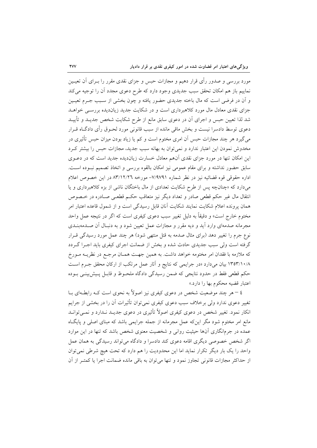مورد بررسی و صدور رأی قرار دهیم و مجازات حبس و جزای نقدی مقرر را بــرای آن تعیــین نماييم باز هم امكان تحقق سبب جديدي وجود دارد كه طرح دعوى مجدد أن را توجيه مي كند و اّن در فرضی است که مال باخته جدیدی حضور یافته و چون بخشی از سـبب جــرم تعیــین جزای نقدی معادل مال مورد کلاهبرداری است و در شکایت جدید زیاندیده بررسـی خواهـد شد لذا تعیین حبس و اجرای آن در دعوی سابق مانع از طرح شکایت شخص جدیـد و تأییـد دعوی توسط دادسرا نیست و بخش ماقی مانده از سبب قانونی مورد لحـوق رأی دادگــاه قــرار می گیرد هر چند مجازات حبس آن امری مختوم است و کم یا زیاد بودن میزان حبس تأثیری در مخدوش نمودن این اعتبار ندارد و نمیٍتوان به بهانه سبب جدید، مجازات حبس را بیشتر کـرد این امکان تنها در مورد جزای نقدی آنهم معادل خسارت زیاندیده جدید است که در دعــوی سابق حضور نداشته و برای مقام عمومی نیز امکان بالقوه بررسی و اتخاذ تصمیم نبـوده اسـت. اداره حقوقي قوه قضائيه نيز در نظر شماره ٧/٩٧٩١- مورخه ٨٣/١٢/٢٦ در اين خصوص اعلام میدارد که «چنانچه پس از طرح شکایت تعدادی از مال باختگان ناش<sub>ی</sub> از بزه کلاهبرداری و یا انتقال مال غیر حکم قطعی صادر و تعداد دیگر نیز متعاقب حکـم قطعـی صـادره در خـصوص همان پرونده اعلام شکایت نمایند شکایت آنان قابل رسیدگی است و از شمول قاعده اعتبار امر مختوم خارج است» و دقیقاً به دلیل تغییر سبب دعوی کیفری است که اگر در نتیجه عمل واحد مجرمانه صدمهای وارد آید و دیه مقرر و مجازات عمل تعیین شود و به دنبـال آن صــدمهبنــدی نوع جرم را تغییر دهد (برای مثال صدمه به قتل منتهی شود) هر چند عمل مورد رسیدگی قــرار گرفته است ولی سبب جدیدی حادث شده و بخش از ضمانت اجرای کیفری باید اجـرا گـردد که ملازمه با فقدان امر مختومه خواهد داشت. به همین جهـت همـان مرجـع در نظریــه مـورخ ۱۳۵۳/۱۰/۸ بیان میدارد «در جرایمی که نتایج و آثار عمل مرتکب از ارکان محقق جـرم اسـت حکم قطعی فقط در حدود نتایجی که ضمن رسیدگی دادگاه ملحـوظ و قابـل پـیش;بینـی بـوده اعتبار قضيه محكوم بها را دارد.»

٤ – هر چند موضعیت شخص در دعوی کیفری نیز اصولاً به نحوی است کــه رابطــهای بــا تغییر دعوی ندارد ولی برخلاف سبب دعوی کیفری نمی توان تأثیرات آن را در بخشی از جرایم انکار نمود. تغییر شخص در دعوی کیفری اصولاً تأثیری در دعوی جدیــد نــدارد و نمــی توانــد مانع امر مختوم شود مگر اینکه عمل مجرمانه از جمله جرایمی باشد که مبنای اصلی و پایگاه عمده در جرمانگاری آنها حیثیت روانی و شخصیت معنوی شخص باشد که تنها در این موارد اگر شخص خصوصی دیگری اقامه دعوی کند دادسرا و دادگاه می تواند رسیدگی به همان عمل واحد را یک بار دیگر تکرار نماید اما این محدودیت را هم دارد که تحت هیچ شرطی نمی توان از حداکثر مجازات قانونی تجاوز نمود و تنها می توان به باقی مانده ضمانت اجرا یا کمتـر از آن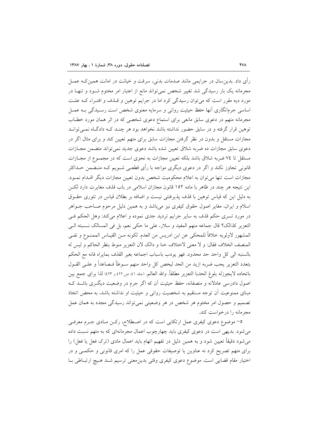رأي داد. بدينِسان در جرايمي مانند صدمات بدني، سرقت و خيانت در امانت همينِ کـه عمــل مجرمانه یک بار رسیدگی شد تغییر شخص نمی تواند مانع از اعتبار امر مختوم شـود و تنهـا در مورد دیه مقرر است که میتوان رسیدگی کرد اما در جرایم توهین و قـذف و افتـراء کـه علـت اساسی جرمانگاری آنها حفظ حیثیت روانی و سرمایه معنوی شخص است رسـیدگی بـه عمــل مجرمانه متهم در دعوی سابق مانعی برای استماع دعوی شخصی که در اثر همان مورد خطـاب توهین قرار گرفته و در سابق حضور نداشته باشد نخواهد بود هر چنـد کـه دادگـاه نمــیتوانــد مجازات مستقل و بدون در نظر گرفتن مجازات سابق برای متهم تعیین کند و برای مثال اگر در دعوی سابق مجازات ده ضربه شلاق تعیین شده باشد دعوی جدید نمی تواند متضمن مجــازات مستقل تا ٧٤ ضربه شلاق باشد بلكه تعيين مجازات به نحوى است كه در مجمـوع از مجـازات قانونی تجاوز نکند و اگر در دعوی دیگری مواجه با رأی قطعـی شــویم کــه متــضمن حــداکثر مجازات است تنها مي توان به اعلام محكوميت شخص بدون تعيين مجازات ديگر اقــدام نمــود. این نتیجه هر چند در ظاهر با ماده ۱۵۲ قانون مجازان اسلامی در باب قذف مغایرت دارد لکـن به دلیل این که قیاس توهین با قذف پذیرفتنی نیست و اضافه بر بطلان قیاس در تئوری حقـوق اسلام و ایران، مغایر اصول حقوق کیفری نیز می باشد و به همین دلیل مرحوم صـاحب جــواهر در مورد تسری حکم قذف به سایر جرایم تردید جدی نموده و اعلام میکند: وهل الحکم فـی التعزير كذالك؟ قال جماعه منهم المفيد و سلار، على ما حكى نعم، بل في المسالك نـسبته الـي المشهور لاولويه خلافاً للمحكي عن ابن ادريس من العدم. لكونه مـن القيــاس الممنــوع و نفــي المنصف الخلاف فقال: و لا معنى لاختلاف خنا و دالک لان التعزير منوط بنظر الحاکم و ليس له بالسنبه الى كل واحد حد محدود. فهو يودب باسباب اجماعه بغير القذف بمايراه فانه مع الحكم بتعدد التعزير يحب ضربه ازيد من الحد ليخص كل واحد منهم سـوطاً فـصاعداً و علـي القـول باتحاده لايجوزله بلوغ الحدبا التعزير مطلقاً. والله العالم. (جلد ٤١ ص٢٢١ و ٤٢٣) لذا براي جمع بين اصول دادرسی عادلانه و منصفانه، حفظ حیثیت آن که اگر جرم در وضعیت دیگـری باشــد کــه مبنای ممنوعیت آن توجه مستقیم به شخصیت روانی و حیثیت او نداشته باشد، به محض اتخاذ تصمیم و حصول امر مختوم هر شخص در هر وضعیتی نمی تواند رسیدگی مجدد به همان عمل مجرمانه را درخواست کند.

0– موضوع دعوی کیفری عمل ارتکابی است که در اصطلاح، رکـن مـادی جـرم معرفـی میشود. بدیهی است در دعوی کیفری باید چهارچوب اعمال مجرمانهای که به متهم نسبت داده میشود دقیقاً تعیین شود و به همین دلیل در تفهیم اتهام باید اعمال مادی (ترک فعل یا فعل) را برای متهم تصریح کرد نه عناوین یا توصیفات حقوقی عمل را که امری قانونی و حکمـی و در اختیار مقام قضایی است. موضوع دعوی کیفری وقتی بدینمعنی ترسیم شـد هـیچ ارتبـاطی بـا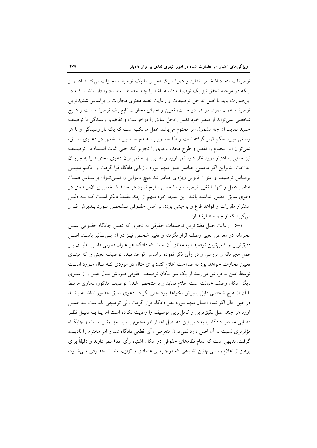توصیفات متعدد اشخاص ندارد و همیشه یک فعل را با یک توصیف مجازات می کننـد اعـم از اینکه در مرحله تحقق نیز یک توصیف داشته باشد یا چند وصف متعـدد را دارا باشـد کـه در این صورت باید با اصل تداخل توصیفات و رعایت تعدد معنوی مجازات را براساس شدیدترین توصیف اعمال نمود. در هر دو حالت، تعیین و اجرای مجازات تابع یک توصیف است و هـیچ شخصی نمی تواند از منظر خود تغییر راهحل سابق را درخواست و تقاضای رسیدگی با توصیف جدید نماید. اَن چه مشمول امر مختوم میباشد عمل مرتکب است که یک بار رسیدگی و با هر وصفى مورد حكم قرار گرفته است و لذا حضور يـا عـدم حـضور شـخص در دعـوى سـابق، نمی توان امر مختوم را نقض و طرح مجدد دعوی را تجویز کند حتی اثبات اشـتباه در توصـیف نیز خللی به اعتبار مورد نظر دارد نمیآورد و به این بهانه نمیٍتوان دعوی مختومه را به جریـان انداخت. بنابراین اگر مجموع عناصر عمل متهم مورد ارزیابی دادگاه قرا گرفت و حکـم معینـی براساس توصیف و عنوان قانونی ویژهای صادر شد هیچ دعوایی را نمـیتوان براسـاس همـان عناصر عمل و تنها با تغییر توصیف و مشخص مطرح نمود هر چنـد شـخص زیــان‹دیــدهای در دعوی سابق حضور نداشته باشد. این نتیجه خود ملهم از چند مقدمهٔ دیگر اسـت کــه بــه دلیــل استقرار مقررات و قواعد فرع و یا مبتنی بودن بر اصل حقـوقی مـشخص مـورد پـذیرش قـرار می گیرد که از جمله عبارتند از:

۱–٥– رعایت اصل دقیقترین توصیفات حقوقی به نحوی که تعیین جایگاه حقـوقی عمـل مجرمانه در معرض تغییر وصف قرار نگرفته و تغییر شخص نیــز در آن بــیتــأثیر باشــد. اصــل دقیقترین و کامل ترین توصیف به معنای آن است که دادگاه هر عنوان قانونی قابـل انطبــاق بــر عمل مجرمانه را بررسی و در رأی ذکر نموده براساس قواعد تهدد توصیف معینی را که مبنــای تعیین مجازات خواهد بود به صراحت اعلام کند: برای مثال در موردی کـه مـال مـورد امانــت توسط امین به فروش میرسد از یک سو امکان توصیف حقوقی فـروش مـال غیـر و از سـوی دیگر امکان وصف خیانت است اعلام نماید و با مشخص شدن توصیف مذکور، دعاوی مرتبط با آن از هیچ شخصی قابل پذیرش نخواهد بود حتی اگر در دعوی سابق حضور نداشته باشـد در عین حال اگر تمام اعمال متهم مورد نظر دادگاه قرار گرفت ولی توصیفی نادرست بـه عمــل ۔<br>آورد هر چند اصل دقیقترین و کامل ترین توصیف را رعایت نکرده است اما یــا بــه دلیــل نظــر قضایی مستقل دادگاه یا به دلیل این که اصل اعتبار امر مختوم بـسیار مهـمتـر اسـت و جایگـاه مؤثرتری نسبت به آن اصل دارد نمیٍتوان متعرض رأی قطعی دادگاه شد و امر مختوم را نادیــده گرفت. بدیهی است که تمام نظامهای حقوقی در امکان اشتباه رأی اتفاق نظر دارند و دقیقاً برای پرهیز از اعلام رسمی چنین اشتباهی که موجب بی|عتمادی و تزلزل امنیت حقـوقی مـیشـود،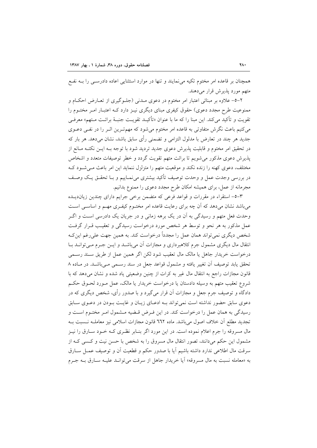همچنان بر قاعده امر مختوم تکیه می نمایند و تنها در موارد استثنایی اعاده دادرســی را بــه نفــع متھم مورد پذیرش قرار مے دھند.

۲–٥– علاوه بر مبنائی اعتبار امر مختوم در دعوی مـدنی (جلــوگیری از تعــارض احکــام و ممنوعیت طرح مجدد دعوی) حقوق کیفری مبنای دیگری نیـز دارد کـه اعتبـار امـر مختــوم را تقويت و تأكيد مي كند. اين مبنا را كه ما با عنوان «تأكيــد تقويــت جنبــهٔ برائــت مــتهم» معرفــي می کنیم باعث نگرش متفاوتی به قاعده امر مختوم می شود که مهم تـرین اثـر را در نفـی دعــوی جديد هر چند در تعارض با مدلول التزامي و تضمني رأى سابق باشد، نشان مىدهد. هر بار كه در تحقیق امر مختوم و قابلیت پذیرش دعوی جدید تردید شود با توجه بــه ایــن نکتــه مــانع از پذیرش دعوی مذکور میشویم تا برائت متهم تقویت گردد و خطر توصیفات متعدد و اشخاص مختلف، دعوی کهنه را زنده نکند و موقعیت متهم را متزلزل ننماید این امر باعث مـی شـود کـه در بررسی وجدت عمل و وحدت توصیف تأکید بیشتری می نمـاییم و بــا تحقــق یــک وصــف مجرمانه از عمل، برای همیشه امکان طرح مجدد دعوی را ممنوع بدانیم.

٣-٥- استقراء در مقررات و قواعد فرعي كه متضمن برخي جرايم داراي چندين زيانديـده می باشد نشان می دهد که آن چه برای رعایت قاعده امر مختـوم کیفـری مهـم و اساســی اســت وحدت فعل متهم و رسیدگی به آن در یک برهه زمانی و در جریان یک دادرسی است و اگــر عمل مذکور به هر نحو و توسط هر شخص مورد درخواست رسیدگی و تعقیب قـرار گرفـت شخص دیگری نمی تواند همان عمل را مجدداً درخواست کند. به همین جهت علی رغم این ک انتقال مال دیگری مشمول جرم کلاهبرداری و مجازات اَن میباشــد و ایــن جــرم مــیتوانــد بــا درخواست خریدار جاهل یا مالک مال تعقیب شود لکن اگر همین عمل از طریق سـند رسـمی تحقق یابد توصیف آن تغییر یافته و مشمول قواعد جعل در سند رسـمی مـیباشـد. در مـاده ۸ قانون مجازات راجع به انتقال مال غیر به کرات از چنین وضعیتی یاد شده و نشان می دهد که با شروع تعقیب متهم به وسیله دادستان یا درخواست خریدار یا مالک، عمل مـورد لحـوق حکـم دادگاه و توصیف جرم جعل و مجازات آن قرار میگیرد و با صدور رأی، شخص دیگری که در دعوی سابق حضور نداشته است نمی تواند بــه ادعــای زیــان و غایــت بــودن در دعــوی ســابق رسیدگی به همان عمل را درخواست کند. در این فـرض قـضیه مـشمول امـر مختـوم اسـت و تجديد مطلع أن خلاف اصول مي باشد. ماده ٦٦٢ قانون مجازات اسلامي نيز معاملـه نــسبت بــه مال مسروقه را جرم اعلام نموده است. در این مورد اگر بنـابر نظـری کـه خــود ســارق را نیــز مشمول این حکم میدانند، تصور انتقال مال مسروق را به شخص با حسن نیت و کـسی کـه از سرقت مال اطلاعی ندارد داشته باشیم آیا با صدور حکم و قطعیت آن و توصیف عمـل سـارق به «معامله نسبت به مال مسروقه» آيا خريدار جاهل از سرقت مي توانـد عليـه سـارق بــه جـرم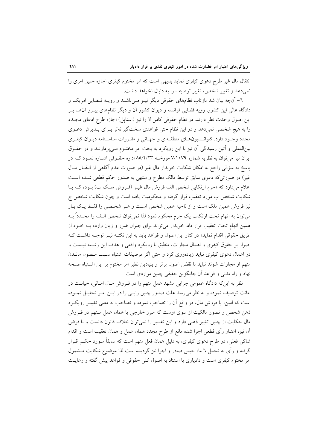انتقال مال غیر طرح دعوی کیفری نماید بدیهی است که امر مختوم کیفری اجازه چنین امری را نم ٍدهد و تغییر شخص، تغییر توصیف را به دنبال نخواهد داشت.

٦- آنچه بیان شد بازتاب نظامهای حقوقی دیگر نیـز مـیباشــد و رویــه قــضایی امریکــا و دادگاه عالی این کشور، رویه قضایی فرانسه و دیوان کشور آن و دیگر نظامهای پیـرو آنهــا بــر این اصول وحدت نظر دارند. در نظام حقوقی کامن لا را نیز (استاپل) اجازه طرح ادعای مجــدد را به هیچ شخصی نمیدهد و در این نظام حتی قواعدی سختگیرانهتر بـرای پـذیرش دعــوی مجدد وجـود دارد. کنوانـسیونهـای منطقـهای و جهـانی و مقـررات اساسـنامه دیـوان کیفـری بینالمللی و آئین رسیدگی آن نیز با این رویکرد به بحث امر مختـوم مـی،پردازنــد و در حقــوق ایران نیز میتوان به نظریه شماره ۷/۱۰۷۹ مورخـه ۸۵/۲/۲۳ اداره حقـوقی اشـاره نمـود کـه در یاسخ به سؤالی راجع به امکان شکایت خریدار مال غیر (در صورت عدم آگاهی از انتقـال مـال غیر) در صورتیکه دعوی سابق توسط مالک مطرح و منتهی به صدور حکم قطعی شـده اسـت اعلام میدارد که «جرم ارتکابی شخص الف فروش مال غیـر (فـروش ملـک ب) بـوده کــه بــا شکایت شخص ب مورد تعقیب قرار گرفته و محکومیت یافته است و چون شکایت شخص ج نیز فروش همین ملک است و از ناحیه همین شخص است و هـر شخـصی را فقـط یـک بـار میتوان به اتهام تحت ارتکاب یک جرم محکوم نمود لذا نمیتوان شخص الـف را مجـدداً بــه همین اتهام تحت تعقیب قرار داد. خریدار می تواند برای جبران ضرر و زیان وارده بـه خــود از طريق حقوقي اقدام نمايد» در كنار اين اصول و قواعد بايد به اين نكتـه نيـز توجـه داشـت كـه اصرار بر حقوق کیفری و اهمال مجازات، منطبق با رویکرد واقعی و هدف این رشته نیست و در اعمال دعوی کیفری نباید زیادهروی کرد و حتی اگر توصیفات اشتباه سـبب مـصون مانــدن متهم از مجازات شوند نباید با نقض اصول برتر و بنیادین نظیر امر مختوم بر این اشـتباه صـحه نهاد و راه مدنی و قواعد آن جایگزین حقیقی چنین مواردی است.

نظر به اینکه دادگاه عمومی جزایی مشهد عمل متهم را در فـروش مـال امـانی، خیانـت در امانت توصیف نموده و به نظر میرسد علت صدور چنین رایـی را در ایـن امـر تحلیـل نمـوده است که امین، یا فروش مال، در واقع آن را تصاحب نموده و تصاحب به معنی تغییـر رویکــرد ذهن شخص و تصور مالکیت از سوی اوست که مبرز خارجی یا همان عمل مـتهم در فــروش مال حکایت از چنین تغییر ذهنی دارد و این تفسیر را نمیتوان خلاف قانون دانست و با فرض اّن نيز، اعتبار رأى قطعي اجرا شده مانع از طرح مجدد همان عمل و همان تعقيب است و اقدام شاکی فعلی، در طرح دعوی کیفری، به دلیل همان فعل متهم است که سابقاً مـورد حکـم قـرار گرفته و رأی به تحمل ٦ ماه حبس صادر و اجرا نیز گردیده است لذا موضوع شکایت مــشمول امر مختوم کیفری است و دادیاری با استناد به اصول کلی حقوقی و قواعد پیش گفته و رعایت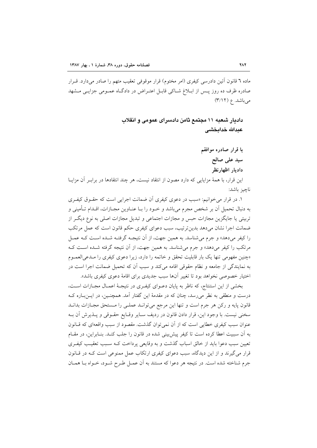ماده ٦ قانون أئين دادرسي كيفري (امر مختوم) قرار موقوفي تعقيب متهم را صادر ميدارد. قــرار صادره ظرف ده روز پــس از ابــلاغ شــاکی قابــل اعتــراض در دادگــاه عمــومی جزایــی مــشهد میباشد. ع (۳/۱۲)

> دادیار شعبه ۱۱ مجتمع ثامن دادسرای عمومی و انقلاب عدالله خدائخشى

> > با قرار صادره موافقم سيد على صالح داديار اظهارنظر

این قرار، با همهٔ مزایایی که دارد مصون از انتقاد نیست، هر چند انتقادها در براب ِ آن مزایــا ناچىز باشد:

۱. در قرار می خوانیم: «سبب در دعوی کیفری آن ضمانت اجرایی است که حقـوق کیفـری به دنبال تحمیل أن بر شخص مجرم میباشد و خــود را بــا عنــاوین مجــازات، اقــدام تــأمینی و تربیتی یا جایگزین مجازات حبس و مجازات اجتماعی و تبدیل مجازات اصلی به نوع دیگ راز ضمانت اجرا نشان میدهد بدینترتیب، سبب دعوای کیفری حکم قانون است که عمل مرتکب را کیفر میدهد» و جرم میشناسد. به همین جهت، از آن نتیجـه گرفتـه شــده اســت کــه عمــل مرتکب را کیفر میدهد» و جرم میشناسد. به همین جهت، از آن نتیجه گرفته شـده اسـت کـه «چنین مفهومی تنها یک بار قابلیت تحقق و خاتمه را دارد، زیرا دعوی کیفری را مـدعی العمـوم به نمایندگی از جامعه و نظام حقوقی اقامه میکند و سبب آن که تحمیل ضمانت اجرا است در اختیار خصوصی نخواهد بود تا تغییر آنها سبب جدیدی برای اقامهٔ دعوی کیفری باشد».

بخشی از این استنتاج، که ناظر به پایان دعـوای کیفـری در نتیجـهٔ اعمـال مجـازات اسـت، درست و منطقی به نظر می٫رسد، چنان که در مقدمهٔ این گفتار آمد. همچنـین، در ایــن٫بــاره کــه قانون پایه و رکن هر جرم است و تنها این مرجع میتوانـد عملـی را مـستحق مجـازات بدانـد سخنی نیست. با وجود این، قرار دادن قانون در ردیف سـایر وقـایع حقـوقی و پـذیرش آن بـه عنوان سبب کیفری خطایی است که از آن نمی توان گذشت. مقصود از سبب واقعهای که قــانون به آن سببیت اعطا کرده است تا کیفر پیش بینی شده در قانون را جلب کنـد. بنـابراین، در مقـام تعیین سبب دعوا باید از خالق اسباب گذشت و به وقایعی پرداخت کـه سـبب تعقیـب کیفـری قرار می گیرند و از این دیدگاه، سبب دعوای کیفری ارتکاب عمل ممنوعی است کـه در قـانون جرم شناخته شده است. در نتیجه هر دعوا که مستند به آن عمـل طـرح شـود، خـواه بــا همــان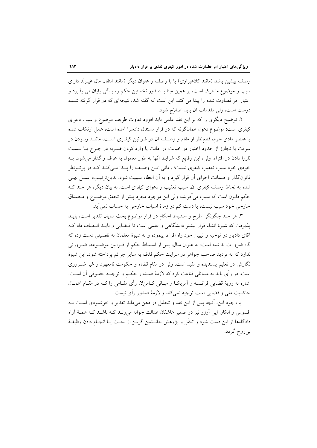وصف پیشین باشد (مانند کلاهبراری) یا با وصف و عنوان دیگر (مانند انتقال مال غیـر)، دارای سبب و موضوع مشترک است، بر همین مبنا با صدور نخستین حکم رسیدگی یایان می یذیرد و اعتبار امر قضاوت شده را پیدا می کند. این است که گفته شد، نتیجهای که در قرار گرفته شـده درست است، ولي مقدمات آن بايد اصلاح شود.

۲. توضیح دیگری را که بر این نقد علمی باید افزود تفاوت ظریف موضوع و سبب دعوای کیفری است: موضوع دعوا، همانگونه که در قرار مستدل دادسرا آمده است، عمل ارتکاب شده یا عنصر مادی جرم، قطع نظر از مقام و وصـف آن در قــوانین کیفـری اســت، ماننــد ربــودن در سرقت یا تجاوز از حدود اختیار در خیانت در امانت یا وارد کردن ضـربه در جـرح یــا نــسبت ناروا دادن در افتراء. ولي، اين وقايع كه شرايط آنها به طور معمول به عرف واگذار مي شود، بــه خودی خود سبب تعقیب کیفری نیست؛ زمانی ایــن وصـف را پیـدا مــی کنــد کــه در پر تــونظر قانونگذار و ضمانت اجرای آن قرار گیرد و به آن اعطاء سببیت شود. بدین ترتیب، عمــل نهــی شده به لحاظ وصف کیفری اَن، سبب تعقیب و دعوای کیفری است. به بیان دیگر، هر چند کــه حکم قانون است که سبب می آفریند، ولی این موجود مجرد پیش از تحقق موضـوع و مـصداق خارجي خود سبب نيست، يا دست كم در زمرهٔ اسباب خارجي به حساب نمي آيد.

۳. هر چند چگونگی طرح و استنباط احکام در قرار موضوع بحث شایان تقدیر است، بایــد پذیرفت که شیوهٔ انشاء قرار بیشتر دانشگاهی و علمی است تا قبضایی و بایـد انـصاف داد ک آقای دادیار در توجیه و تبیین خود راه افراط پیموده و به شیوهٔ معلمان به تفصیلی دست زده که گاه ضرورت نداشته است: به عنوان مثال، پس از استنباط حکم از قــوانین موضــوعه، ضــرورتی ندارد که به تردید صاحب جواهر در سرایت حکم قذف به سایر جرائم پرداخته شود. این شیوهٔ نگارش در تعلیم پسندیده و مفید است، ولی در مقام قضاء و حکومت نامعهود و غیر ضـروری است. در رأى بايد به مسائلي قناعت كرد كه لازمهٔ صـدور حكـم و توجيــه حقــوقى آن اســت. اشاره به رویهٔ قضایی فرانــسه و اَمریکــا و مبــانی کــامن۷، رأی مقــامی را کــه در مقــام اعمــال حاکمیت ملی و قضایی است توجیه نمیکند و لازمهٔ صدور رأی نیست.

با وجود اين، آنچه پس از اين نقد و تحليل در ذهن مي ماند تقدير و خوشنودي است نـه افسوس و انکار. این آرزو نیز در ضمیر عاشقان عدالت جوانه می زنـد کـه باشـد کـه همـهٔ آراء دادگاهها از این دست شود و تعقّل و یژوهش جانــشین گریــز از بحــث یــا انجــام دادن وظیفــهٔ بي روح گردد.